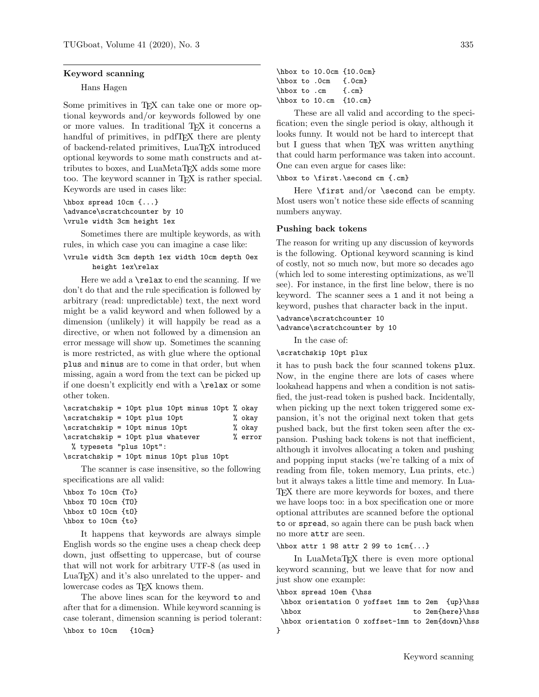### Keyword scanning

## Hans Hagen

Some primitives in TEX can take one or more optional keywords and/or keywords followed by one or more values. In traditional TEX it concerns a handful of primitives, in pdfT<sub>EX</sub> there are plenty of backend-related primitives, LuaTEX introduced optional keywords to some math constructs and attributes to boxes, and LuaMetaTFX adds some more too. The keyword scanner in TEX is rather special. Keywords are used in cases like:

\hbox spread 10cm {...} \advance\scratchcounter by 10 \vrule width 3cm height 1ex

Sometimes there are multiple keywords, as with rules, in which case you can imagine a case like:

# \vrule width 3cm depth 1ex width 10cm depth 0ex height 1ex\relax

Here we add a \relax to end the scanning. If we don't do that and the rule specification is followed by arbitrary (read: unpredictable) text, the next word might be a valid keyword and when followed by a dimension (unlikely) it will happily be read as a directive, or when not followed by a dimension an error message will show up. Sometimes the scanning is more restricted, as with glue where the optional plus and minus are to come in that order, but when missing, again a word from the text can be picked up if one doesn't explicitly end with a \relax or some other token.

| \scratchskip = 10pt plus 10pt minus 10pt % okay |         |
|-------------------------------------------------|---------|
| \scratchskip = 10pt plus 10pt                   | % okay  |
| \scratchskip = 10pt minus 10pt                  | % okay  |
| \scratchskip = 10pt plus whatever               | % error |
| % typesets "plus 10pt":                         |         |
|                                                 |         |

\scratchskip = 10pt minus 10pt plus 10pt

The scanner is case insensitive, so the following specifications are all valid:

```
\hbox To 10cm {To}
\hbox TO 10cm {TO}
\hbox tO 10cm {tO}
\hbox to 10cm {to}
```
It happens that keywords are always simple English words so the engine uses a cheap check deep down, just offsetting to uppercase, but of course that will not work for arbitrary UTF-8 (as used in LuaT<sub>EX</sub>) and it's also unrelated to the upper- and lowercase codes as T<sub>F</sub>X knows them.

The above lines scan for the keyword to and after that for a dimension. While keyword scanning is case tolerant, dimension scanning is period tolerant: \hbox to 10cm {10cm}

|  |              | \hbox to 10.0cm {10.0cm} |
|--|--------------|--------------------------|
|  |              | \hbox to .0cm {.0cm}     |
|  | \hbox to .cm | $\{ .cm \}$              |
|  |              | $hbox$ to 10.cm $10.cm$  |

These are all valid and according to the specification; even the single period is okay, although it looks funny. It would not be hard to intercept that but I guess that when TFX was written anything that could harm performance was taken into account. One can even argue for cases like:

\hbox to \first.\second cm {.cm}

Here  $\frac{and}{or} \second can be empty.$ Most users won't notice these side effects of scanning numbers anyway.

### Pushing back tokens

The reason for writing up any discussion of keywords is the following. Optional keyword scanning is kind of costly, not so much now, but more so decades ago (which led to some interesting optimizations, as we'll see). For instance, in the first line below, there is no keyword. The scanner sees a 1 and it not being a keyword, pushes that character back in the input.

\advance\scratchcounter 10

```
\advance\scratchcounter by 10
```
In the case of:

\scratchskip 10pt plux

it has to push back the four scanned tokens plux. Now, in the engine there are lots of cases where lookahead happens and when a condition is not satisfied, the just-read token is pushed back. Incidentally, when picking up the next token triggered some expansion, it's not the original next token that gets pushed back, but the first token seen after the expansion. Pushing back tokens is not that inefficient, although it involves allocating a token and pushing and popping input stacks (we're talking of a mix of reading from file, token memory, Lua prints, etc.) but it always takes a little time and memory. In Lua-TEX there are more keywords for boxes, and there we have loops too: in a box specification one or more optional attributes are scanned before the optional to or spread, so again there can be push back when no more attr are seen.

\hbox attr 1 98 attr 2 99 to 1cm{...}

In LuaMetaTEX there is even more optional keyword scanning, but we leave that for now and just show one example:

\hbox spread 10em {\hss

\hbox orientation 0 yoffset 1mm to 2em {up}\hss \hbox to 2em{here}\hss \hbox orientation 0 xoffset-1mm to 2em{down}\hss }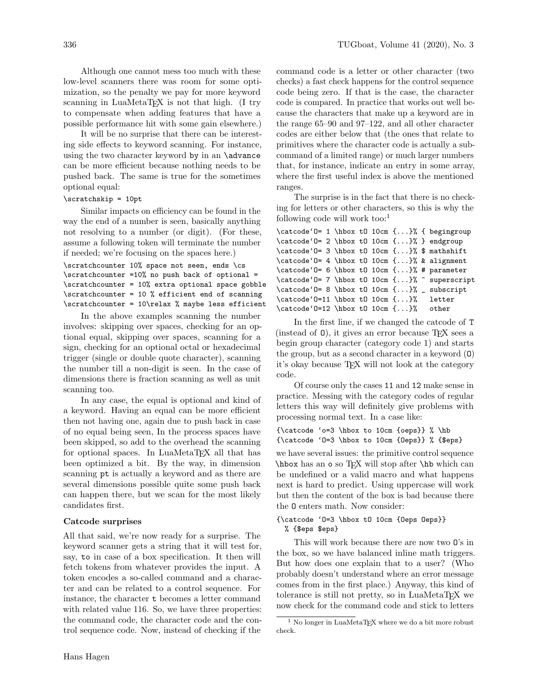Although one cannot mess too much with these low-level scanners there was room for some optimization, so the penalty we pay for more keyword scanning in LuaMetaTFX is not that high. (I try to compensate when adding features that have a possible performance hit with some gain elsewhere.)

It will be no surprise that there can be interesting side effects to keyword scanning. For instance, using the two character keyword by in an **\advance** can be more efficient because nothing needs to be pushed back. The same is true for the sometimes optional equal:

# \scratchskip = 10pt

Similar impacts on efficiency can be found in the way the end of a number is seen, basically anything not resolving to a number (or digit). (For these, assume a following token will terminate the number if needed; we're focusing on the spaces here.)

\scratchcounter 10% space not seen, ends \cs \scratchcounter =10% no push back of optional = \scratchcounter = 10% extra optional space gobble \scratchcounter = 10 % efficient end of scanning \scratchcounter = 10\relax % maybe less efficient

In the above examples scanning the number involves: skipping over spaces, checking for an optional equal, skipping over spaces, scanning for a sign, checking for an optional octal or hexadecimal trigger (single or double quote character), scanning the number till a non-digit is seen. In the case of dimensions there is fraction scanning as well as unit scanning too.

In any case, the equal is optional and kind of a keyword. Having an equal can be more efficient then not having one, again due to push back in case of no equal being seen, In the process spaces have been skipped, so add to the overhead the scanning for optional spaces. In LuaMetaT<sub>F</sub>X all that has been optimized a bit. By the way, in dimension scanning pt is actually a keyword and as there are several dimensions possible quite some push back can happen there, but we scan for the most likely candidates first.

## Catcode surprises

All that said, we're now ready for a surprise. The keyword scanner gets a string that it will test for, say, to in case of a box specification. It then will fetch tokens from whatever provides the input. A token encodes a so-called command and a character and can be related to a control sequence. For instance, the character t becomes a letter command with related value 116. So, we have three properties: the command code, the character code and the control sequence code. Now, instead of checking if the

command code is a letter or other character (two checks) a fast check happens for the control sequence code being zero. If that is the case, the character code is compared. In practice that works out well because the characters that make up a keyword are in the range 65–90 and 97–122, and all other character codes are either below that (the ones that relate to primitives where the character code is actually a subcommand of a limited range) or much larger numbers that, for instance, indicate an entry in some array, where the first useful index is above the mentioned ranges.

The surprise is in the fact that there is no checking for letters or other characters, so this is why the following code will work too:<sup>[1](#page-1-0)</sup>

\catcode'O= 1 \hbox tO 10cm {...}% { begingroup \catcode'O= 2 \hbox tO 10cm {...}% } endgroup \catcode'O= 3 \hbox tO 10cm {...}% \$ mathshift \catcode'O= 4 \hbox tO 10cm {...}% & alignment \catcode'O= 6 \hbox tO 10cm {...}% # parameter \catcode'O= 7 \hbox tO 10cm {...}% ^ superscript \catcode'O= 8 \hbox tO 10cm {...}% \_ subscript \catcode'O=11 \hbox tO 10cm {...}% letter \catcode'O=12 \hbox tO 10cm {...}% other

In the first line, if we changed the catcode of T (instead of O), it gives an error because TEX sees a begin group character (category code 1) and starts the group, but as a second character in a keyword (O) it's okay because TEX will not look at the category code.

Of course only the cases 11 and 12 make sense in practice. Messing with the category codes of regular letters this way will definitely give problems with processing normal text. In a case like:

{\catcode 'o=3 \hbox to 10cm {oeps}} % \hb {\catcode 'O=3 \hbox to 10cm {Oeps}} % {\$eps}

we have several issues: the primitive control sequence \hbox has an o so TEX will stop after \hb which can be undefined or a valid macro and what happens next is hard to predict. Using uppercase will work but then the content of the box is bad because there the O enters math. Now consider:

# {\catcode 'O=3 \hbox tO 10cm {Oeps Oeps}} % {\$eps \$eps}

This will work because there are now two O's in the box, so we have balanced inline math triggers. But how does one explain that to a user? (Who probably doesn't understand where an error message comes from in the first place.) Anyway, this kind of tolerance is still not pretty, so in LuaMetaTEX we now check for the command code and stick to letters

<span id="page-1-0"></span> $^{\rm 1}$  No longer in LuaMetaTEX where we do a bit more robust check.